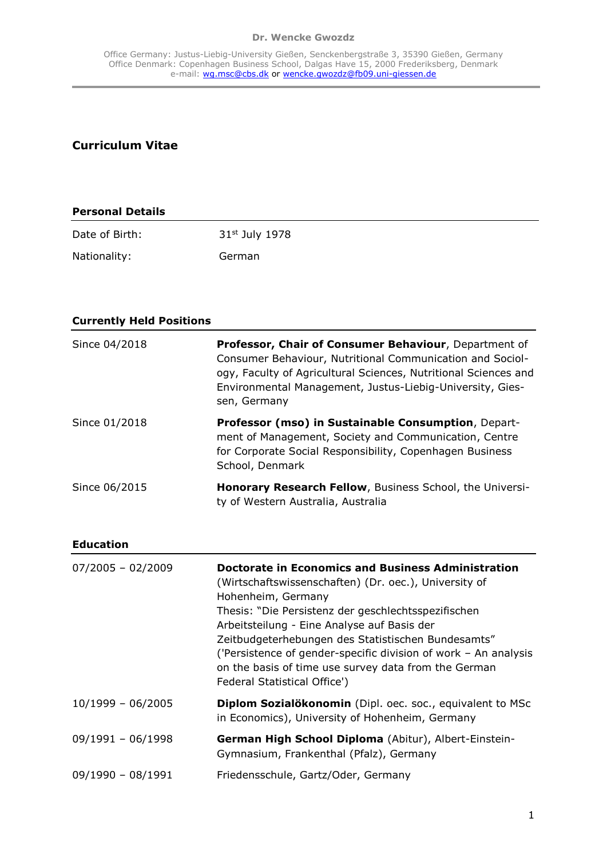#### **Dr. Wencke Gwozdz**

# **Curriculum Vitae**

| <b>Personal Details</b> |                            |  |
|-------------------------|----------------------------|--|
| Date of Birth:          | 31 <sup>st</sup> July 1978 |  |
| Nationality:            | German                     |  |

| <b>Currently Held Positions</b> |                                                                                                                                                                                                                                                                    |
|---------------------------------|--------------------------------------------------------------------------------------------------------------------------------------------------------------------------------------------------------------------------------------------------------------------|
| Since 04/2018                   | Professor, Chair of Consumer Behaviour, Department of<br>Consumer Behaviour, Nutritional Communication and Sociol-<br>ogy, Faculty of Agricultural Sciences, Nutritional Sciences and<br>Environmental Management, Justus-Liebig-University, Gies-<br>sen, Germany |
| Since 01/2018                   | Professor (mso) in Sustainable Consumption, Depart-<br>ment of Management, Society and Communication, Centre<br>for Corporate Social Responsibility, Copenhagen Business<br>School, Denmark                                                                        |
| Since 06/2015                   | Honorary Research Fellow, Business School, the Universi-<br>ty of Western Australia, Australia                                                                                                                                                                     |
| <b>Education</b>                |                                                                                                                                                                                                                                                                    |

| $07/2005 - 02/2009$ | <b>Doctorate in Economics and Business Administration</b><br>(Wirtschaftswissenschaften) (Dr. oec.), University of<br>Hohenheim, Germany<br>Thesis: "Die Persistenz der geschlechtsspezifischen<br>Arbeitsteilung - Eine Analyse auf Basis der<br>Zeitbudgeterhebungen des Statistischen Bundesamts"<br>('Persistence of gender-specific division of work $-$ An analysis<br>on the basis of time use survey data from the German<br>Federal Statistical Office') |
|---------------------|-------------------------------------------------------------------------------------------------------------------------------------------------------------------------------------------------------------------------------------------------------------------------------------------------------------------------------------------------------------------------------------------------------------------------------------------------------------------|
| $10/1999 - 06/2005$ | Diplom Sozialökonomin (Dipl. oec. soc., equivalent to MSc<br>in Economics), University of Hohenheim, Germany                                                                                                                                                                                                                                                                                                                                                      |
| $09/1991 - 06/1998$ | German High School Diploma (Abitur), Albert-Einstein-<br>Gymnasium, Frankenthal (Pfalz), Germany                                                                                                                                                                                                                                                                                                                                                                  |
| $09/1990 - 08/1991$ | Friedensschule, Gartz/Oder, Germany                                                                                                                                                                                                                                                                                                                                                                                                                               |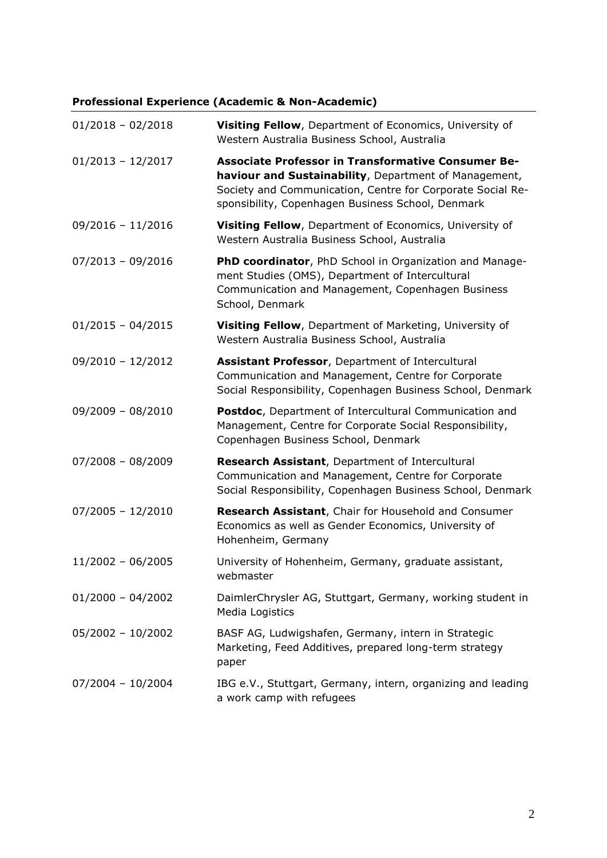# **Professional Experience (Academic & Non-Academic)**

| $01/2018 - 02/2018$ | Visiting Fellow, Department of Economics, University of<br>Western Australia Business School, Australia                                                                                                                        |
|---------------------|--------------------------------------------------------------------------------------------------------------------------------------------------------------------------------------------------------------------------------|
| $01/2013 - 12/2017$ | Associate Professor in Transformative Consumer Be-<br>haviour and Sustainability, Department of Management,<br>Society and Communication, Centre for Corporate Social Re-<br>sponsibility, Copenhagen Business School, Denmark |
| $09/2016 - 11/2016$ | Visiting Fellow, Department of Economics, University of<br>Western Australia Business School, Australia                                                                                                                        |
| $07/2013 - 09/2016$ | PhD coordinator, PhD School in Organization and Manage-<br>ment Studies (OMS), Department of Intercultural<br>Communication and Management, Copenhagen Business<br>School, Denmark                                             |
| $01/2015 - 04/2015$ | Visiting Fellow, Department of Marketing, University of<br>Western Australia Business School, Australia                                                                                                                        |
| $09/2010 - 12/2012$ | Assistant Professor, Department of Intercultural<br>Communication and Management, Centre for Corporate<br>Social Responsibility, Copenhagen Business School, Denmark                                                           |
| $09/2009 - 08/2010$ | Postdoc, Department of Intercultural Communication and<br>Management, Centre for Corporate Social Responsibility,<br>Copenhagen Business School, Denmark                                                                       |
| $07/2008 - 08/2009$ | Research Assistant, Department of Intercultural<br>Communication and Management, Centre for Corporate<br>Social Responsibility, Copenhagen Business School, Denmark                                                            |
| $07/2005 - 12/2010$ | Research Assistant, Chair for Household and Consumer<br>Economics as well as Gender Economics, University of<br>Hohenheim, Germany                                                                                             |
| $11/2002 - 06/2005$ | University of Hohenheim, Germany, graduate assistant,<br>webmaster                                                                                                                                                             |
| $01/2000 - 04/2002$ | DaimlerChrysler AG, Stuttgart, Germany, working student in<br>Media Logistics                                                                                                                                                  |
| $05/2002 - 10/2002$ | BASF AG, Ludwigshafen, Germany, intern in Strategic<br>Marketing, Feed Additives, prepared long-term strategy<br>paper                                                                                                         |
| $07/2004 - 10/2004$ | IBG e.V., Stuttgart, Germany, intern, organizing and leading<br>a work camp with refugees                                                                                                                                      |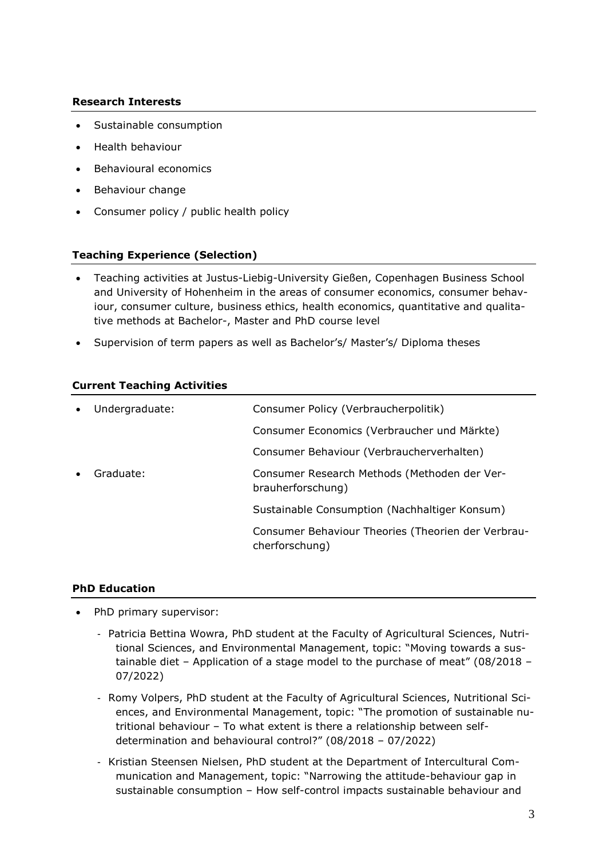### **Research Interests**

- Sustainable consumption
- Health behaviour
- Behavioural economics
- Behaviour change
- Consumer policy / public health policy

### **Teaching Experience (Selection)**

- Teaching activities at Justus-Liebig-University Gießen, Copenhagen Business School and University of Hohenheim in the areas of consumer economics, consumer behaviour, consumer culture, business ethics, health economics, quantitative and qualitative methods at Bachelor-, Master and PhD course level
- Supervision of term papers as well as Bachelor's/ Master's/ Diploma theses

### **Current Teaching Activities**

| $\bullet$ | Undergraduate: | Consumer Policy (Verbraucherpolitik)                                 |
|-----------|----------------|----------------------------------------------------------------------|
|           |                | Consumer Economics (Verbraucher und Märkte)                          |
|           |                | Consumer Behaviour (Verbraucherverhalten)                            |
| $\bullet$ | Graduate:      | Consumer Research Methods (Methoden der Ver-<br>brauherforschung)    |
|           |                | Sustainable Consumption (Nachhaltiger Konsum)                        |
|           |                | Consumer Behaviour Theories (Theorien der Verbrau-<br>cherforschung) |

### **PhD Education**

- PhD primary supervisor:
	- Patricia Bettina Wowra, PhD student at the Faculty of Agricultural Sciences, Nutritional Sciences, and Environmental Management, topic: "Moving towards a sustainable diet – Application of a stage model to the purchase of meat" (08/2018 – 07/2022)
	- Romy Volpers, PhD student at the Faculty of Agricultural Sciences, Nutritional Sciences, and Environmental Management, topic: "The promotion of sustainable nutritional behaviour – To what extent is there a relationship between selfdetermination and behavioural control?" (08/2018 – 07/2022)
	- Kristian Steensen Nielsen, PhD student at the Department of Intercultural Communication and Management, topic: "Narrowing the attitude-behaviour gap in sustainable consumption – How self-control impacts sustainable behaviour and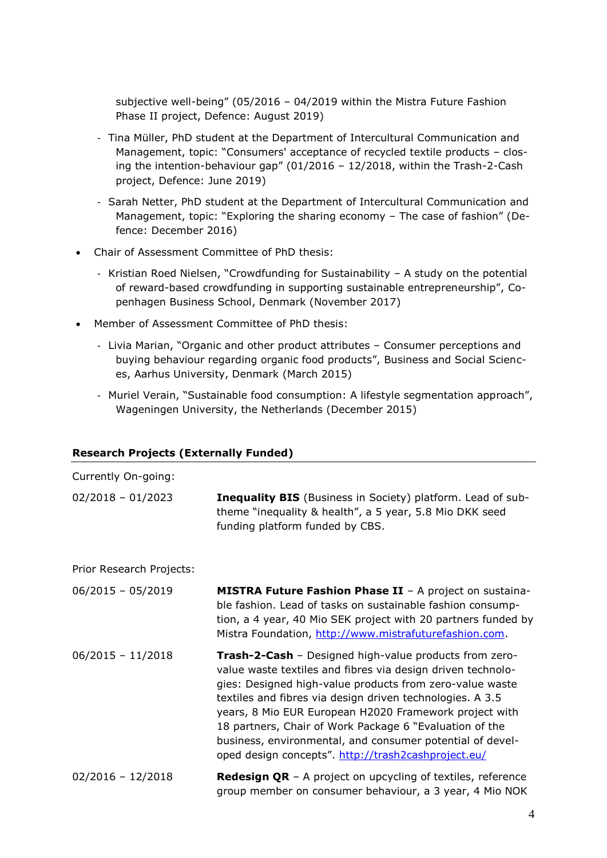subjective well-being" (05/2016 – 04/2019 within the Mistra Future Fashion Phase II project, Defence: August 2019)

- Tina Müller, PhD student at the Department of Intercultural Communication and Management, topic: "Consumers' acceptance of recycled textile products – closing the intention-behaviour gap" (01/2016 – 12/2018, within the Trash-2-Cash project, Defence: June 2019)
- Sarah Netter, PhD student at the Department of Intercultural Communication and Management, topic: "Exploring the sharing economy – The case of fashion" (Defence: December 2016)
- Chair of Assessment Committee of PhD thesis:
	- Kristian Roed Nielsen, "Crowdfunding for Sustainability A study on the potential of reward-based crowdfunding in supporting sustainable entrepreneurship", Copenhagen Business School, Denmark (November 2017)
- Member of Assessment Committee of PhD thesis:
	- Livia Marian, "Organic and other product attributes Consumer perceptions and buying behaviour regarding organic food products", Business and Social Sciences, Aarhus University, Denmark (March 2015)
	- Muriel Verain, "Sustainable food consumption: A lifestyle segmentation approach", Wageningen University, the Netherlands (December 2015)

### **Research Projects (Externally Funded)**

| Currently On-going:      |                                                                                                                                                                                                                                                                                                                                                                                                                                                                                                |
|--------------------------|------------------------------------------------------------------------------------------------------------------------------------------------------------------------------------------------------------------------------------------------------------------------------------------------------------------------------------------------------------------------------------------------------------------------------------------------------------------------------------------------|
| $02/2018 - 01/2023$      | Inequality BIS (Business in Society) platform. Lead of sub-<br>theme "inequality & health", a 5 year, 5.8 Mio DKK seed<br>funding platform funded by CBS.                                                                                                                                                                                                                                                                                                                                      |
| Prior Research Projects: |                                                                                                                                                                                                                                                                                                                                                                                                                                                                                                |
| $06/2015 - 05/2019$      | MISTRA Future Fashion Phase II - A project on sustaina-<br>ble fashion. Lead of tasks on sustainable fashion consump-<br>tion, a 4 year, 40 Mio SEK project with 20 partners funded by<br>Mistra Foundation, http://www.mistrafuturefashion.com.                                                                                                                                                                                                                                               |
| $06/2015 - 11/2018$      | <b>Trash-2-Cash</b> - Designed high-value products from zero-<br>value waste textiles and fibres via design driven technolo-<br>gies: Designed high-value products from zero-value waste<br>textiles and fibres via design driven technologies. A 3.5<br>years, 8 Mio EUR European H2020 Framework project with<br>18 partners, Chair of Work Package 6 "Evaluation of the<br>business, environmental, and consumer potential of devel-<br>oped design concepts". http://trash2cashproject.eu/ |
| $02/2016 - 12/2018$      | <b>Redesign QR</b> - A project on upcycling of textiles, reference<br>group member on consumer behaviour, a 3 year, 4 Mio NOK                                                                                                                                                                                                                                                                                                                                                                  |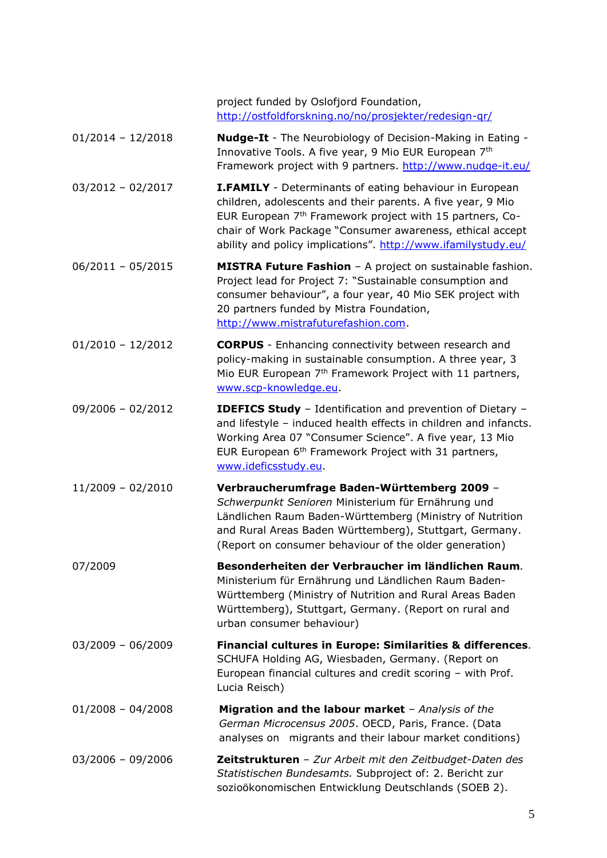project funded by Oslofjord Foundation, <http://ostfoldforskning.no/no/prosjekter/redesign-qr/>

- 01/2014 12/2018 **Nudge-It** The Neurobiology of Decision-Making in Eating Innovative Tools. A five year, 9 Mio EUR European 7<sup>th</sup> Framework project with 9 partners.<http://www.nudge-it.eu/>
- 03/2012 02/2017 **I.FAMILY** Determinants of eating behaviour in European children, adolescents and their parents. A five year, 9 Mio EUR European 7th Framework project with 15 partners, Cochair of Work Package "Consumer awareness, ethical accept ability and policy implications". <http://www.ifamilystudy.eu/>
- 06/2011 05/2015 **MISTRA Future Fashion** A project on sustainable fashion. Project lead for Project 7: "Sustainable consumption and consumer behaviour", a four year, 40 Mio SEK project with 20 partners funded by Mistra Foundation, [http://www.mistrafuturefashion.com.](http://www.mistrafuturefashion.com/)
- 01/2010 12/2012 **CORPUS** Enhancing connectivity between research and policy-making in sustainable consumption. A three year, 3 Mio EUR European 7<sup>th</sup> Framework Project with 11 partners, [www.scp-knowledge.eu.](http://www.scp-knowledge.eu/)
- 09/2006 02/2012 **IDEFICS Study** Identification and prevention of Dietary and lifestyle – induced health effects in children and infancts. Working Area 07 "Consumer Science". A five year, 13 Mio EUR European 6th Framework Project with 31 partners, www.ideficsstudy.eu.
- 11/2009 02/2010 **Verbraucherumfrage Baden-Württemberg 2009** *– Schwerpunkt Senioren* Ministerium für Ernährung und Ländlichen Raum Baden-Württemberg (Ministry of Nutrition and Rural Areas Baden Württemberg), Stuttgart, Germany. (Report on consumer behaviour of the older generation)
- 07/2009 **Besonderheiten der Verbraucher im ländlichen Raum***.* Ministerium für Ernährung und Ländlichen Raum Baden-Württemberg (Ministry of Nutrition and Rural Areas Baden Württemberg), Stuttgart, Germany. (Report on rural and urban consumer behaviour)
- 03/2009 06/2009 **Financial cultures in Europe: Similarities & differences***.*  SCHUFA Holding AG, Wiesbaden, Germany. (Report on European financial cultures and credit scoring – with Prof. Lucia Reisch)
- 01/2008 04/2008 **Migration and the labour market** *– Analysis of the German Microcensus 2005*. OECD, Paris, France. (Data analyses on migrants and their labour market conditions)
- 03/2006 09/2006 **Zeitstrukturen** *– Zur Arbeit mit den Zeitbudget-Daten des Statistischen Bundesamts.* Subproject of: 2. Bericht zur sozioökonomischen Entwicklung Deutschlands (SOEB 2).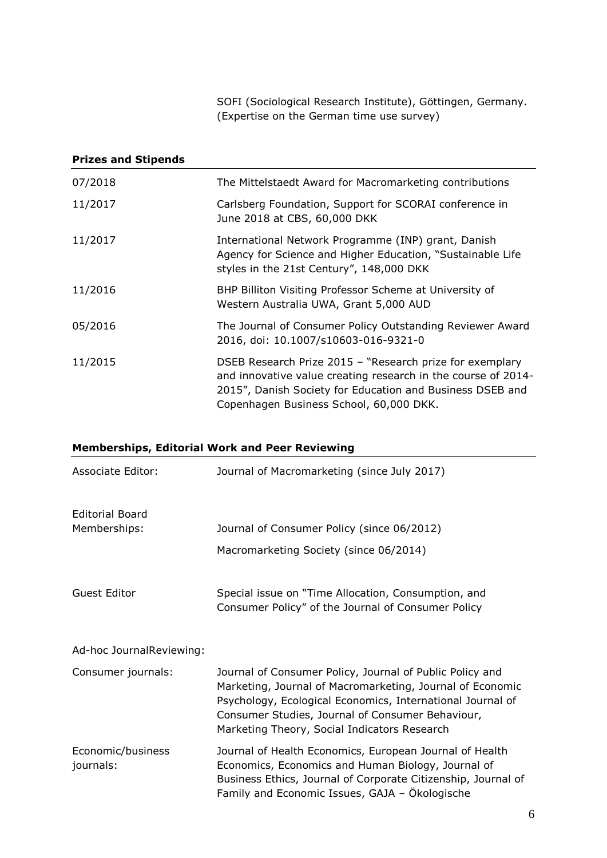SOFI (Sociological Research Institute), Göttingen, Germany. (Expertise on the German time use survey)

### **Prizes and Stipends**

| 07/2018 | The Mittelstaedt Award for Macromarketing contributions                                                                                                                                                                           |
|---------|-----------------------------------------------------------------------------------------------------------------------------------------------------------------------------------------------------------------------------------|
| 11/2017 | Carlsberg Foundation, Support for SCORAI conference in<br>June 2018 at CBS, 60,000 DKK                                                                                                                                            |
| 11/2017 | International Network Programme (INP) grant, Danish<br>Agency for Science and Higher Education, "Sustainable Life<br>styles in the 21st Century", 148,000 DKK                                                                     |
| 11/2016 | BHP Billiton Visiting Professor Scheme at University of<br>Western Australia UWA, Grant 5,000 AUD                                                                                                                                 |
| 05/2016 | The Journal of Consumer Policy Outstanding Reviewer Award<br>2016, doi: 10.1007/s10603-016-9321-0                                                                                                                                 |
| 11/2015 | DSEB Research Prize 2015 - "Research prize for exemplary<br>and innovative value creating research in the course of 2014-<br>2015", Danish Society for Education and Business DSEB and<br>Copenhagen Business School, 60,000 DKK. |

# **Memberships, Editorial Work and Peer Reviewing**

| Associate Editor:              | Journal of Macromarketing (since July 2017)                                                                                                                                                                                                                                             |
|--------------------------------|-----------------------------------------------------------------------------------------------------------------------------------------------------------------------------------------------------------------------------------------------------------------------------------------|
| <b>Editorial Board</b>         |                                                                                                                                                                                                                                                                                         |
| Memberships:                   | Journal of Consumer Policy (since 06/2012)                                                                                                                                                                                                                                              |
|                                | Macromarketing Society (since 06/2014)                                                                                                                                                                                                                                                  |
| <b>Guest Editor</b>            | Special issue on "Time Allocation, Consumption, and<br>Consumer Policy" of the Journal of Consumer Policy                                                                                                                                                                               |
| Ad-hoc JournalReviewing:       |                                                                                                                                                                                                                                                                                         |
| Consumer journals:             | Journal of Consumer Policy, Journal of Public Policy and<br>Marketing, Journal of Macromarketing, Journal of Economic<br>Psychology, Ecological Economics, International Journal of<br>Consumer Studies, Journal of Consumer Behaviour,<br>Marketing Theory, Social Indicators Research |
| Economic/business<br>journals: | Journal of Health Economics, European Journal of Health<br>Economics, Economics and Human Biology, Journal of<br>Business Ethics, Journal of Corporate Citizenship, Journal of<br>Family and Economic Issues, GAJA - Ökologische                                                        |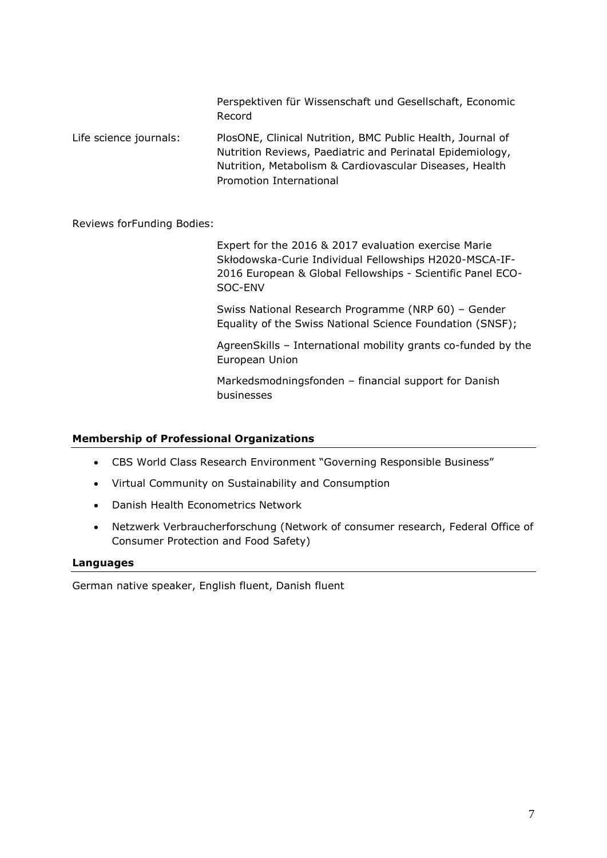Perspektiven für Wissenschaft und Gesellschaft, Economic Record

Life science journals: PlosONE, Clinical Nutrition, BMC Public Health, Journal of Nutrition Reviews, Paediatric and Perinatal Epidemiology, Nutrition, Metabolism & Cardiovascular Diseases, Health Promotion International

Reviews forFunding Bodies:

Expert for the 2016 & 2017 evaluation exercise Marie Skłodowska-Curie Individual Fellowships H2020-MSCA-IF-2016 European & Global Fellowships - Scientific Panel ECO-SOC-ENV

Swiss National Research Programme (NRP 60) – Gender Equality of the Swiss National Science Foundation (SNSF);

AgreenSkills – International mobility grants co-funded by the European Union

Markedsmodningsfonden – financial support for Danish businesses

### **Membership of Professional Organizations**

- CBS World Class Research Environment "Governing Responsible Business"
- Virtual Community on Sustainability and Consumption
- Danish Health Econometrics Network
- Netzwerk Verbraucherforschung (Network of consumer research, Federal Office of Consumer Protection and Food Safety)

#### **Languages**

German native speaker, English fluent, Danish fluent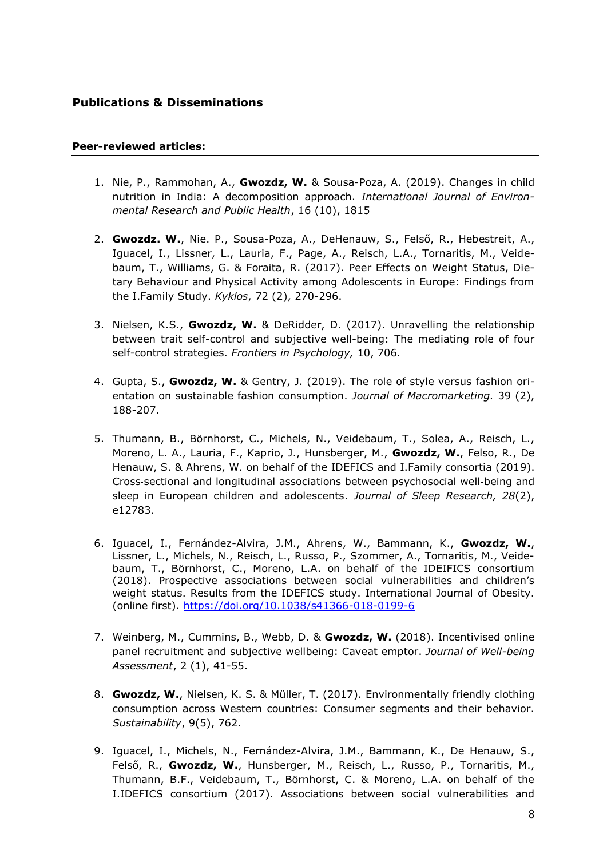### **Publications & Disseminations**

#### **Peer-reviewed articles:**

- 1. Nie, P., Rammohan, A., **Gwozdz, W.** & Sousa-Poza, A. (2019). Changes in child nutrition in India: A decomposition approach. *International Journal of Environmental Research and Public Health*, 16 (10), 1815
- 2. **Gwozdz. W.**, Nie. P., Sousa-Poza, A., DeHenauw, S., Felső, R., Hebestreit, A., Iguacel, I., Lissner, L., Lauria, F., Page, A., Reisch, L.A., Tornaritis, M., Veidebaum, T., Williams, G. & Foraita, R. (2017). Peer Effects on Weight Status, Dietary Behaviour and Physical Activity among Adolescents in Europe: Findings from the I.Family Study. *Kyklos*, 72 (2), 270-296.
- 3. Nielsen, K.S., **Gwozdz, W.** & DeRidder, D. (2017). Unravelling the relationship between trait self-control and subjective well-being: The mediating role of four self-control strategies. *Frontiers in Psychology,* 10, 706*.*
- 4. Gupta, S., **Gwozdz, W.** & Gentry, J. (2019). The role of style versus fashion orientation on sustainable fashion consumption. *Journal of Macromarketing.* 39 (2), 188-207.
- 5. Thumann, B., Börnhorst, C., Michels, N., Veidebaum, T., Solea, A., Reisch, L., Moreno, L. A., Lauria, F., Kaprio, J., Hunsberger, M., **Gwozdz, W.**, Felso, R., De Henauw, S. & Ahrens, W. on behalf of the IDEFICS and I.Family consortia (2019). Cross‐sectional and longitudinal associations between psychosocial well‐being and sleep in European children and adolescents. *Journal of Sleep Research, 28*(2), e12783.
- 6. Iguacel, I., Fernández-Alvira, J.M., Ahrens, W., Bammann, K., **Gwozdz, W.**, Lissner, L., Michels, N., Reisch, L., Russo, P., Szommer, A., Tornaritis, M., Veidebaum, T., Börnhorst, C., Moreno, L.A. on behalf of the IDEIFICS consortium (2018). Prospective associations between social vulnerabilities and children's weight status. Results from the IDEFICS study. International Journal of Obesity. (online first).<https://doi.org/10.1038/s41366-018-0199-6>
- 7. Weinberg, M., Cummins, B., Webb, D. & **Gwozdz, W.** (2018). Incentivised online panel recruitment and subjective wellbeing: Caveat emptor. *Journal of Well-being Assessment*, 2 (1), 41-55.
- 8. **Gwozdz, W.**, Nielsen, K. S. & Müller, T. (2017). Environmentally friendly clothing consumption across Western countries: Consumer segments and their behavior. *Sustainability*, 9(5), 762.
- 9. Iguacel, I., Michels, N., Fernández-Alvira, J.M., Bammann, K., De Henauw, S., Felső, R., **Gwozdz, W.**, Hunsberger, M., Reisch, L., Russo, P., Tornaritis, M., Thumann, B.F., Veidebaum, T., Börnhorst, C. & Moreno, L.A. on behalf of the I.IDEFICS consortium (2017). Associations between social vulnerabilities and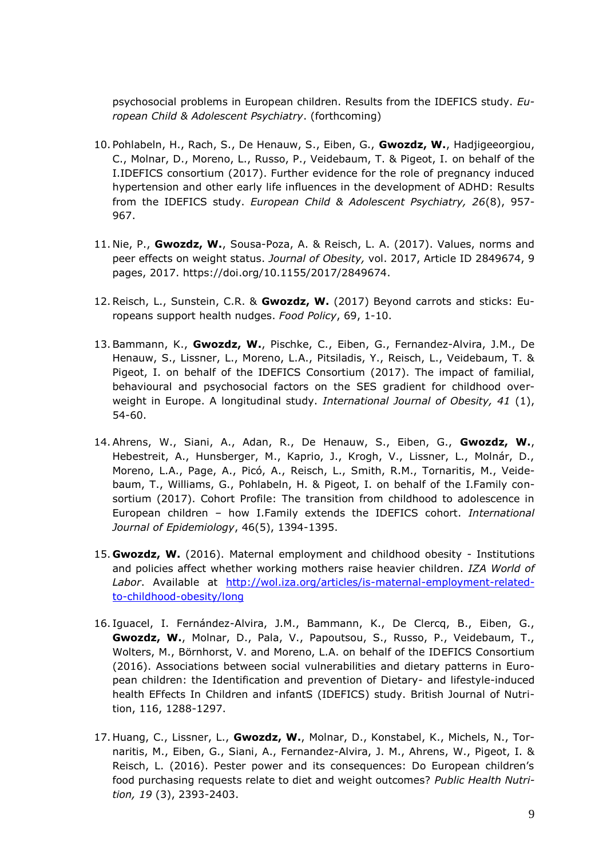psychosocial problems in European children. Results from the IDEFICS study. *European Child & Adolescent Psychiatry*. (forthcoming)

- 10. Pohlabeln, H., Rach, S., De Henauw, S., Eiben, G., **Gwozdz, W.**, Hadjigeeorgiou, C., Molnar, D., Moreno, L., Russo, P., Veidebaum, T. & Pigeot, I. on behalf of the I.IDEFICS consortium (2017). Further evidence for the role of pregnancy induced hypertension and other early life influences in the development of ADHD: Results from the IDEFICS study. *European Child & Adolescent Psychiatry, 26*(8), 957- 967.
- 11. Nie, P., **Gwozdz, W.**, Sousa-Poza, A. & Reisch, L. A. (2017). Values, norms and peer effects on weight status. *Journal of Obesity,* vol. 2017, Article ID 2849674, 9 pages, 2017. [https://doi.org/10.1155/2017/2849674.](https://doi.org/10.1155/2017/2849674)
- 12.Reisch, L., Sunstein, C.R. & **Gwozdz, W.** (2017) Beyond carrots and sticks: Europeans support health nudges. *Food Policy*, 69, 1-10.
- 13.Bammann, K., **Gwozdz, W.**, Pischke, C., Eiben, G., Fernandez-Alvira, J.M., De Henauw, S., Lissner, L., Moreno, L.A., Pitsiladis, Y., Reisch, L., Veidebaum, T. & Pigeot, I. on behalf of the IDEFICS Consortium (2017). The impact of familial, behavioural and psychosocial factors on the SES gradient for childhood overweight in Europe. A longitudinal study. *International Journal of Obesity, 41* (1), 54-60.
- 14.Ahrens, W., Siani, A., Adan, R., De Henauw, S., Eiben, G., **Gwozdz, W.**, Hebestreit, A., Hunsberger, M., Kaprio, J., Krogh, V., Lissner, L., Molnár, D., Moreno, L.A., Page, A., Picó, A., Reisch, L., Smith, R.M., Tornaritis, M., Veidebaum, T., Williams, G., Pohlabeln, H. & Pigeot, I. on behalf of the I.Family consortium (2017). Cohort Profile: The transition from childhood to adolescence in European children – how I.Family extends the IDEFICS cohort. *International Journal of Epidemiology*, 46(5), 1394-1395.
- 15. **Gwozdz, W.** (2016). Maternal employment and childhood obesity Institutions and policies affect whether working mothers raise heavier children. *IZA World of Labor*. Available at [http://wol.iza.org/articles/is-maternal-employment-related](http://wol.iza.org/articles/is-maternal-employment-related-to-childhood-obesity/long)[to-childhood-obesity/long](http://wol.iza.org/articles/is-maternal-employment-related-to-childhood-obesity/long)
- 16. Iguacel, I. Fernández-Alvira, J.M., Bammann, K., De Clercq, B., Eiben, G., **Gwozdz, W.**, Molnar, D., Pala, V., Papoutsou, S., Russo, P., Veidebaum, T., Wolters, M., Börnhorst, V. and Moreno, L.A. on behalf of the IDEFICS Consortium (2016). Associations between social vulnerabilities and dietary patterns in European children: the Identification and prevention of Dietary- and lifestyle-induced health EFfects In Children and infantS (IDEFICS) study. British Journal of Nutrition, 116, 1288-1297.
- 17. Huang, C., Lissner, L., **Gwozdz, W.**, Molnar, D., Konstabel, K., Michels, N., Tornaritis, M., Eiben, G., Siani, A., Fernandez-Alvira, J. M., Ahrens, W., Pigeot, I. & Reisch, L. (2016). Pester power and its consequences: Do European children's food purchasing requests relate to diet and weight outcomes? *Public Health Nutrition, 19* (3), 2393-2403.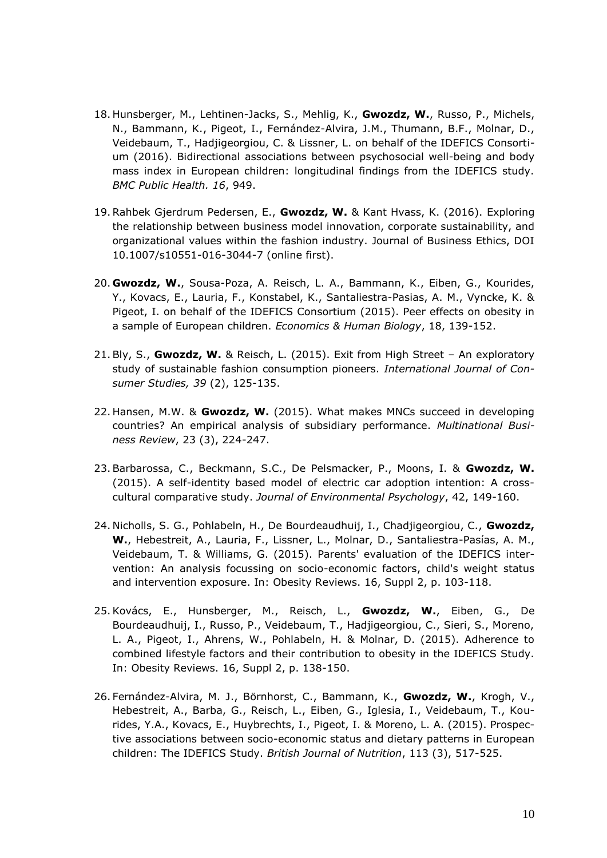- 18. Hunsberger, M., Lehtinen-Jacks, S., Mehlig, K., **Gwozdz, W.**, Russo, P., Michels, N., Bammann, K., Pigeot, I., Fernández-Alvira, J.M., Thumann, B.F., Molnar, D., Veidebaum, T., Hadjigeorgiou, C. & Lissner, L. on behalf of the IDEFICS Consortium (2016). Bidirectional associations between psychosocial well-being and body mass index in European children: longitudinal findings from the IDEFICS study. *BMC Public Health. 16*, 949.
- 19.Rahbek Gjerdrum Pedersen, E., **Gwozdz, W.** & Kant Hvass, K. (2016). Exploring the relationship between business model innovation, corporate sustainability, and organizational values within the fashion industry. Journal of Business Ethics, DOI 10.1007/s10551-016-3044-7 (online first).
- 20. **Gwozdz, W.**, Sousa-Poza, A. Reisch, L. A., Bammann, K., Eiben, G., Kourides, Y., Kovacs, E., Lauria, F., Konstabel, K., Santaliestra-Pasias, A. M., Vyncke, K. & Pigeot, I. on behalf of the IDEFICS Consortium (2015). Peer effects on obesity in a sample of European children. *Economics & Human Biology*, 18, 139-152.
- 21.Bly, S., **Gwozdz, W.** & Reisch, L. (2015). Exit from High Street An exploratory study of sustainable fashion consumption pioneers. *International Journal of Consumer Studies, 39* (2), 125-135.
- 22. Hansen, M.W. & **Gwozdz, W.** (2015). What makes MNCs succeed in developing countries? An empirical analysis of subsidiary performance. *Multinational Business Review*, 23 (3), 224-247.
- 23.Barbarossa, C., Beckmann, S.C., De Pelsmacker, P., Moons, I. & **Gwozdz, W.** (2015). A self-identity based model of electric car adoption intention: A crosscultural comparative study. *Journal of Environmental Psychology*, 42, 149-160.
- 24. Nicholls, S. G., Pohlabeln, H., De Bourdeaudhuij, I., Chadjigeorgiou, C., **Gwozdz, W.**, Hebestreit, A., Lauria, F., Lissner, L., Molnar, D., Santaliestra-Pasías, A. M., Veidebaum, T. & Williams, G. (2015). Parents' evaluation of the IDEFICS intervention: An analysis focussing on socio-economic factors, child's weight status and intervention exposure. In: Obesity Reviews. 16, Suppl 2, p. 103-118.
- 25.Kovács, E., Hunsberger, M., Reisch, L., **Gwozdz, W.**, Eiben, G., De Bourdeaudhuij, I., Russo, P., Veidebaum, T., Hadjigeorgiou, C., Sieri, S., Moreno, L. A., Pigeot, I., Ahrens, W., Pohlabeln, H. & Molnar, D. (2015). Adherence to combined lifestyle factors and their contribution to obesity in the IDEFICS Study. In: Obesity Reviews. 16, Suppl 2, p. 138-150.
- 26. Fernández-Alvira, M. J., Börnhorst, C., Bammann, K., **Gwozdz, W.**, Krogh, V., Hebestreit, A., Barba, G., Reisch, L., Eiben, G., Iglesia, I., Veidebaum, T., Kourides, Y.A., Kovacs, E., Huybrechts, I., Pigeot, I. & Moreno, L. A. (2015). Prospective associations between socio-economic status and dietary patterns in European children: The IDEFICS Study. *British Journal of Nutrition*, 113 (3), 517-525.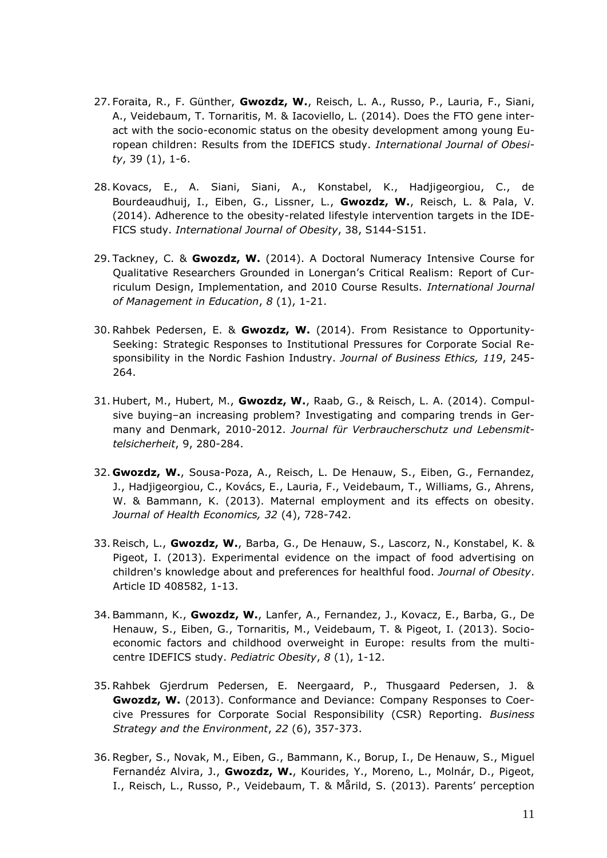- 27. Foraita, R., F. Günther, **Gwozdz, W.**, Reisch, L. A., Russo, P., Lauria, F., Siani, A., Veidebaum, T. Tornaritis, M. & Iacoviello, L. (2014). Does the FTO gene interact with the socio-economic status on the obesity development among young European children: Results from the IDEFICS study. *International Journal of Obesity*, 39 (1), 1-6.
- 28.Kovacs, E., A. Siani, Siani, A., Konstabel, K., Hadjigeorgiou, C., de Bourdeaudhuij, I., Eiben, G., Lissner, L., **Gwozdz, W.**, Reisch, L. & Pala, V. (2014). Adherence to the obesity-related lifestyle intervention targets in the IDE-FICS study. *International Journal of Obesity*, 38, S144-S151.
- 29. Tackney, C. & **Gwozdz, W.** (2014). A Doctoral Numeracy Intensive Course for Qualitative Researchers Grounded in Lonergan's Critical Realism: Report of Curriculum Design, Implementation, and 2010 Course Results. *International Journal of Management in Education*, *8* (1), 1-21.
- 30. Rahbek Pedersen, E. & **Gwozdz, W.** (2014). From Resistance to Opportunity-Seeking: Strategic Responses to Institutional Pressures for Corporate Social Responsibility in the Nordic Fashion Industry. *Journal of Business Ethics, 119*, 245- 264.
- 31. Hubert, M., Hubert, M., **Gwozdz, W.**, Raab, G., & Reisch, L. A. (2014). Compulsive buying–an increasing problem? Investigating and comparing trends in Germany and Denmark, 2010-2012. *Journal für Verbraucherschutz und Lebensmittelsicherheit*, 9, 280-284.
- 32. **Gwozdz, W.**, Sousa-Poza, A., Reisch, L. De Henauw, S., Eiben, G., Fernandez, J., Hadjigeorgiou, C., Kovács, E., Lauria, F., Veidebaum, T., Williams, G., Ahrens, W. & Bammann, K. (2013). Maternal employment and its effects on obesity. *Journal of Health Economics, 32* (4), 728-742.
- 33. Reisch, L., **Gwozdz, W.**, Barba, G., De Henauw, S., Lascorz, N., Konstabel, K. & Pigeot, I. (2013). Experimental evidence on the impact of food advertising on children's knowledge about and preferences for healthful food. *Journal of Obesity*. Article ID 408582, 1-13.
- 34. Bammann, K., **Gwozdz, W.**, Lanfer, A., Fernandez, J., Kovacz, E., Barba, G., De Henauw, S., Eiben, G., Tornaritis, M., Veidebaum, T. & Pigeot, I. (2013). Socioeconomic factors and childhood overweight in Europe: results from the multicentre IDEFICS study. *Pediatric Obesity*, *8* (1), 1-12.
- 35. Rahbek Gjerdrum Pedersen, E. Neergaard, P., Thusgaard Pedersen, J. & **Gwozdz, W.** (2013). Conformance and Deviance: Company Responses to Coercive Pressures for Corporate Social Responsibility (CSR) Reporting. *Business Strategy and the Environment*, *22* (6), 357-373.
- 36. Regber, S., Novak, M., Eiben, G., Bammann, K., Borup, I., De Henauw, S., Miguel Fernandéz Alvira, J., **Gwozdz, W.**, Kourides, Y., Moreno, L., Molnár, D., Pigeot, I., Reisch, L., Russo, P., Veidebaum, T. & Mårild, S. (2013). Parents' perception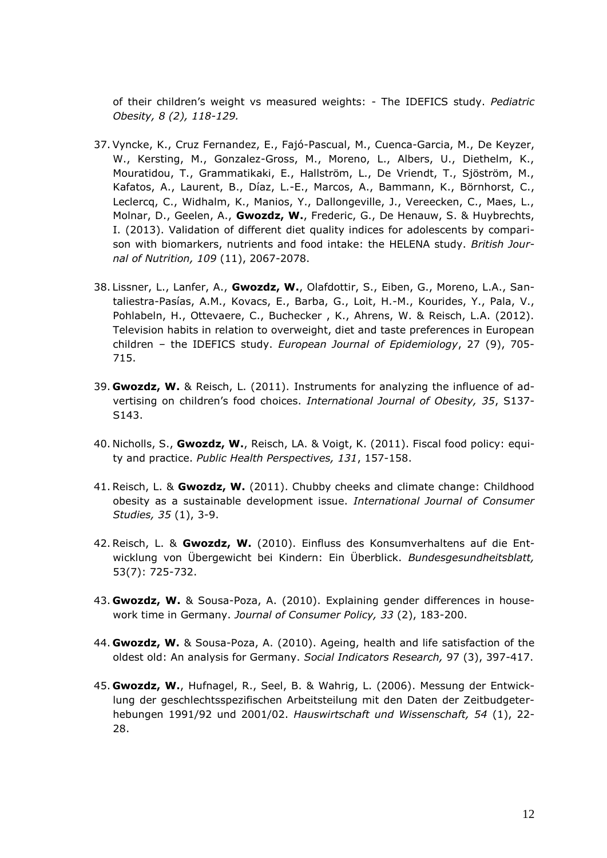of their children's weight vs measured weights: - The IDEFICS study. *Pediatric Obesity, 8 (2), 118-129.*

- 37. Vyncke, K., Cruz Fernandez, E., Fajó-Pascual, M., Cuenca-Garcia, M., De Keyzer, W., Kersting, M., Gonzalez-Gross, M., Moreno, L., Albers, U., Diethelm, K., Mouratidou, T., Grammatikaki, E., Hallström, L., De Vriendt, T., Sjöström, M., Kafatos, A., Laurent, B., Díaz, L.-E., Marcos, A., Bammann, K., Börnhorst, C., Leclercq, C., Widhalm, K., Manios, Y., Dallongeville, J., Vereecken, C., Maes, L., Molnar, D., Geelen, A., **Gwozdz, W.**, Frederic, G., De Henauw, S. & Huybrechts, I. (2013). Validation of different diet quality indices for adolescents by comparison with biomarkers, nutrients and food intake: the HELENA study. *British Journal of Nutrition, 109* (11), 2067-2078.
- 38. Lissner, L., Lanfer, A., **Gwozdz, W.**, Olafdottir, S., Eiben, G., Moreno, L.A., Santaliestra-Pasías, A.M., Kovacs, E., Barba, G., Loit, H.-M., Kourides, Y., Pala, V., Pohlabeln, H., Ottevaere, C., Buchecker , K., Ahrens, W. & Reisch, L.A. (2012). Television habits in relation to overweight, diet and taste preferences in European children – the IDEFICS study. *European Journal of Epidemiology*, 27 (9), 705- 715.
- 39. **Gwozdz, W.** & Reisch, L. (2011). Instruments for analyzing the influence of advertising on children's food choices. *International Journal of Obesity, 35*, S137- S143.
- 40. Nicholls, S., **Gwozdz, W.**, Reisch, LA. & Voigt, K. (2011). Fiscal food policy: equity and practice. *Public Health Perspectives, 131*, 157-158.
- 41. Reisch, L. & **Gwozdz, W.** (2011). Chubby cheeks and climate change: Childhood obesity as a sustainable development issue. *International Journal of Consumer Studies, 35* (1), 3-9.
- 42. Reisch, L. & **Gwozdz, W.** (2010). Einfluss des Konsumverhaltens auf die Entwicklung von Übergewicht bei Kindern: Ein Überblick. *Bundesgesundheitsblatt,*  53(7): 725-732.
- 43. **Gwozdz, W.** & Sousa-Poza, A. (2010). Explaining gender differences in housework time in Germany. *Journal of Consumer Policy, 33* (2), 183-200.
- 44. **Gwozdz, W.** & Sousa-Poza, A. (2010). Ageing, health and life satisfaction of the oldest old: An analysis for Germany. *Social Indicators Research,* 97 (3), 397-417.
- 45. **Gwozdz, W.**, Hufnagel, R., Seel, B. & Wahrig, L. (2006). Messung der Entwicklung der geschlechtsspezifischen Arbeitsteilung mit den Daten der Zeitbudgeterhebungen 1991/92 und 2001/02. *Hauswirtschaft und Wissenschaft, 54* (1), 22- 28.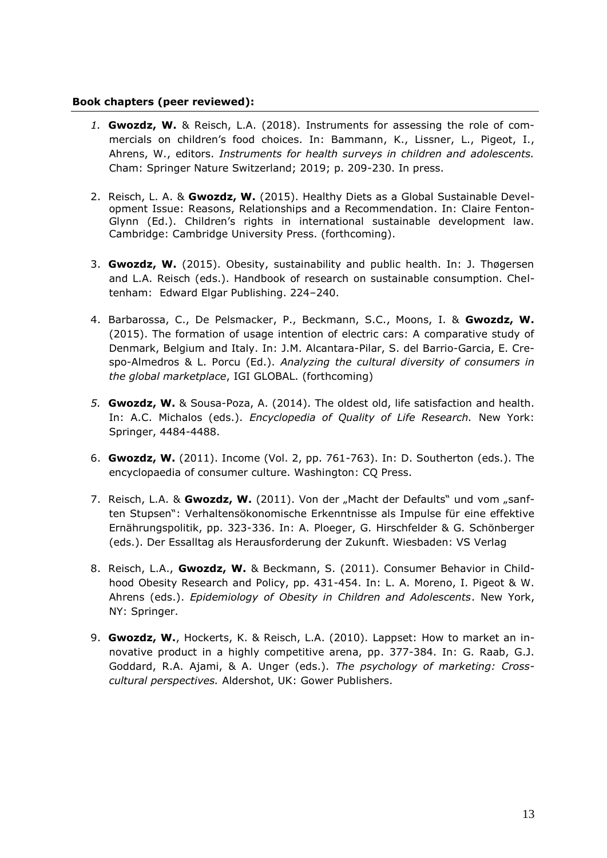#### **Book chapters (peer reviewed):**

- *1.* **Gwozdz, W.** & Reisch, L.A. (2018). Instruments for assessing the role of commercials on children's food choices. In: Bammann, K., Lissner, L., Pigeot, I., Ahrens, W., editors. *Instruments for health surveys in children and adolescents.* Cham: Springer Nature Switzerland; 2019; p. 209-230. In press.
- 2. Reisch, L. A. & **Gwozdz, W.** (2015). Healthy Diets as a Global Sustainable Development Issue: Reasons, Relationships and a Recommendation. In: Claire Fenton-Glynn (Ed.). Children's rights in international sustainable development law. Cambridge: Cambridge University Press. (forthcoming).
- 3. **Gwozdz, W.** (2015). Obesity, sustainability and public health. In: J. Thøgersen and L.A. Reisch (eds.). Handbook of research on sustainable consumption. Cheltenham: Edward Elgar Publishing. 224–240.
- 4. Barbarossa, C., De Pelsmacker, P., Beckmann, S.C., Moons, I. & **Gwozdz, W.** (2015). The formation of usage intention of electric cars: A comparative study of Denmark, Belgium and Italy. In: J.M. Alcantara-Pilar, S. del Barrio-Garcia, E. Crespo-Almedros & L. Porcu (Ed.). *Analyzing the cultural diversity of consumers in the global marketplace*, IGI GLOBAL. (forthcoming)
- *5.* **Gwozdz, W.** & Sousa-Poza, A. (2014). The oldest old, life satisfaction and health. In: A.C. Michalos (eds.). *Encyclopedia of Quality of Life Research.* New York: Springer, 4484-4488.
- 6. **Gwozdz, W.** (2011). Income (Vol. 2, pp. 761-763). In: D. Southerton (eds.). The encyclopaedia of consumer culture. Washington: CQ Press.
- 7. Reisch, L.A. & Gwozdz, W. (2011). Von der "Macht der Defaults" und vom "sanften Stupsen": Verhaltensökonomische Erkenntnisse als Impulse für eine effektive Ernährungspolitik, pp. 323-336. In: A. Ploeger, G. Hirschfelder & G. Schönberger (eds.). Der Essalltag als Herausforderung der Zukunft. Wiesbaden: VS Verlag
- 8. Reisch, L.A., **Gwozdz, W.** & Beckmann, S. (2011). Consumer Behavior in Childhood Obesity Research and Policy, pp. 431-454. In: L. A. Moreno, I. Pigeot & W. Ahrens (eds.). *Epidemiology of Obesity in Children and Adolescents*. New York, NY: Springer.
- 9. **Gwozdz, W.**, Hockerts, K. & Reisch, L.A. (2010). Lappset: How to market an innovative product in a highly competitive arena, pp. 377-384. In: G. Raab, G.J. Goddard, R.A. Ajami, & A. Unger (eds.). *The psychology of marketing: Crosscultural perspectives.* Aldershot, UK: Gower Publishers.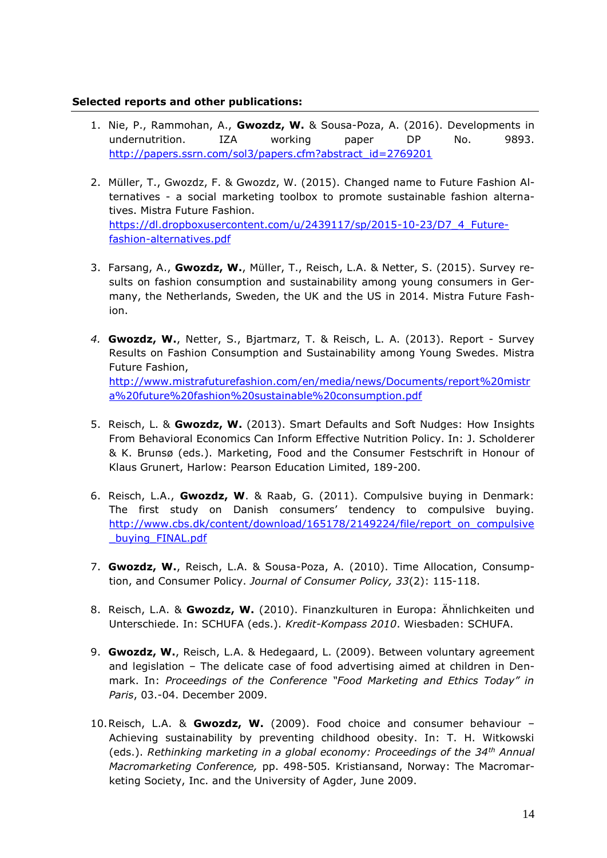### **Selected reports and other publications:**

- 1. Nie, P., Rammohan, A., **Gwozdz, W.** & Sousa-Poza, A. (2016). Developments in undernutrition. IZA working paper DP No. 9893. [http://papers.ssrn.com/sol3/papers.cfm?abstract\\_id=2769201](http://papers.ssrn.com/sol3/papers.cfm?abstract_id=2769201)
- 2. Müller, T., Gwozdz, F. & Gwozdz, W. (2015). Changed name to Future Fashion Alternatives - a social marketing toolbox to promote sustainable fashion alternatives. Mistra Future Fashion. [https://dl.dropboxusercontent.com/u/2439117/sp/2015-10-23/D7\\_4\\_Future](https://dl.dropboxusercontent.com/u/2439117/sp/2015-10-23/D7_4_Future-fashion-alternatives.pdf)[fashion-alternatives.pdf](https://dl.dropboxusercontent.com/u/2439117/sp/2015-10-23/D7_4_Future-fashion-alternatives.pdf)
- 3. Farsang, A., **Gwozdz, W.**, Müller, T., Reisch, L.A. & Netter, S. (2015). Survey results on fashion consumption and sustainability among young consumers in Germany, the Netherlands, Sweden, the UK and the US in 2014. Mistra Future Fashion.
- *4.* **Gwozdz, W.**, Netter, S., Bjartmarz, T. & Reisch, L. A. (2013). Report Survey Results on Fashion Consumption and Sustainability among Young Swedes. Mistra Future Fashion, [http://www.mistrafuturefashion.com/en/media/news/Documents/report%20mistr](http://www.mistrafuturefashion.com/en/media/news/Documents/report%20mistra%20future%20fashion%20sustainable%20consumption.pdf) [a%20future%20fashion%20sustainable%20consumption.pdf](http://www.mistrafuturefashion.com/en/media/news/Documents/report%20mistra%20future%20fashion%20sustainable%20consumption.pdf)
- 5. Reisch, L. & **Gwozdz, W.** (2013). Smart Defaults and Soft Nudges: How Insights From Behavioral Economics Can Inform Effective Nutrition Policy. In: J. Scholderer & K. Brunsø (eds.). Marketing, Food and the Consumer Festschrift in Honour of Klaus Grunert, Harlow: Pearson Education Limited, 189-200.
- 6. Reisch, L.A., **Gwozdz, W**. & Raab, G. (2011). Compulsive buying in Denmark: The first study on Danish consumers' tendency to compulsive buying. [http://www.cbs.dk/content/download/165178/2149224/file/report\\_on\\_compulsive](http://www.cbs.dk/content/download/165178/2149224/file/report_on_compulsive_buying_FINAL.pdf) buying FINAL.pdf
- 7. **Gwozdz, W.**, Reisch, L.A. & Sousa-Poza, A. (2010). Time Allocation, Consumption, and Consumer Policy. *Journal of Consumer Policy, 33*(2): 115-118.
- 8. Reisch, L.A. & **Gwozdz, W.** (2010). Finanzkulturen in Europa: Ähnlichkeiten und Unterschiede. In: SCHUFA (eds.). *Kredit-Kompass 2010*. Wiesbaden: SCHUFA.
- 9. **Gwozdz, W.**, Reisch, L.A. & Hedegaard, L. (2009). Between voluntary agreement and legislation – The delicate case of food advertising aimed at children in Denmark. In: *Proceedings of the Conference "Food Marketing and Ethics Today" in Paris*, 03.-04. December 2009.
- 10.Reisch, L.A. & **Gwozdz, W.** (2009). Food choice and consumer behaviour Achieving sustainability by preventing childhood obesity. In: T. H. Witkowski (eds.). *Rethinking marketing in a global economy: Proceedings of the 34th Annual Macromarketing Conference,* pp. 498-505*.* Kristiansand, Norway: The Macromarketing Society, Inc. and the University of Agder, June 2009.